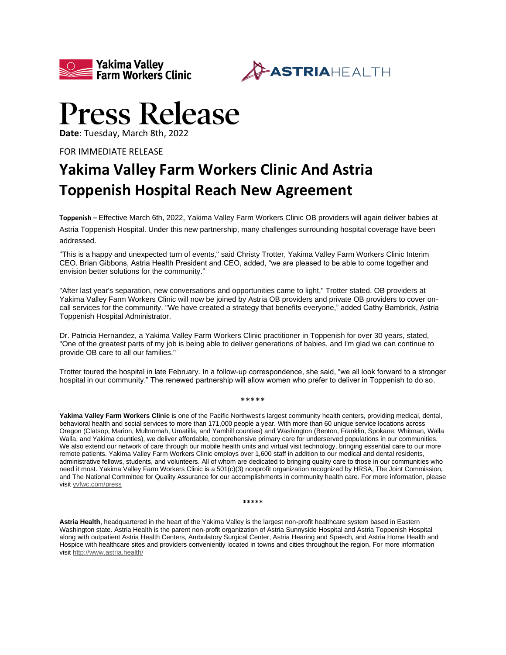



## **Press Release**

**Date**: Tuesday, March 8th, 2022

FOR IMMEDIATE RELEASE

## **Yakima Valley Farm Workers Clinic And Astria Toppenish Hospital Reach New Agreement**

**Toppenish –** Effective March 6th, 2022, Yakima Valley Farm Workers Clinic OB providers will again deliver babies at Astria Toppenish Hospital. Under this new partnership, many challenges surrounding hospital coverage have been addressed.

"This is a happy and unexpected turn of events," said Christy Trotter, Yakima Valley Farm Workers Clinic Interim CEO. Brian Gibbons, Astria Health President and CEO, added, "we are pleased to be able to come together and envision better solutions for the community."

"After last year's separation, new conversations and opportunities came to light," Trotter stated. OB providers at Yakima Valley Farm Workers Clinic will now be joined by Astria OB providers and private OB providers to cover oncall services for the community. "We have created a strategy that benefits everyone," added Cathy Bambrick, Astria Toppenish Hospital Administrator.

Dr. Patricia Hernandez, a Yakima Valley Farm Workers Clinic practitioner in Toppenish for over 30 years, stated, "One of the greatest parts of my job is being able to deliver generations of babies, and I'm glad we can continue to provide OB care to all our families."

Trotter toured the hospital in late February. In a follow-up correspondence, she said, "we all look forward to a stronger hospital in our community." The renewed partnership will allow women who prefer to deliver in Toppenish to do so.

\*\*\*\*\*

**Yakima Valley Farm Workers Clinic** is one of the Pacific Northwest's largest community health centers, providing medical, dental, behavioral health and social services to more than 171,000 people a year. With more than 60 unique service locations across Oregon (Clatsop, Marion, Multnomah, Umatilla, and Yamhill counties) and Washington (Benton, Franklin, Spokane, Whitman, Walla Walla, and Yakima counties), we deliver affordable, comprehensive primary care for underserved populations in our communities. We also extend our network of care through our mobile health units and virtual visit technology, bringing essential care to our more remote patients. Yakima Valley Farm Workers Clinic employs over 1,600 staff in addition to our medical and dental residents, administrative fellows, students, and volunteers. All of whom are dedicated to bringing quality care to those in our communities who need it most. Yakima Valley Farm Workers Clinic is a 501(c)(3) nonprofit organization recognized by HRSA, The Joint Commission, and The National Committee for Quality Assurance for our accomplishments in community health care. For more information, please visit [yvfwc.com/press](https://app.meltwater.com/icm-web/yvfwc.com/press)

**\*\*\*\*\***

**Astria Health**, headquartered in the heart of the Yakima Valley is the largest non-profit healthcare system based in Eastern Washington state. Astria Health is the parent non-profit organization of Astria Sunnyside Hospital and Astria Toppenish Hospital along with outpatient Astria Health Centers, Ambulatory Surgical Center, Astria Hearing and Speech, and Astria Home Health and Hospice with healthcare sites and providers conveniently located in towns and cities throughout the region. For more information visit <http://www.astria.health/>